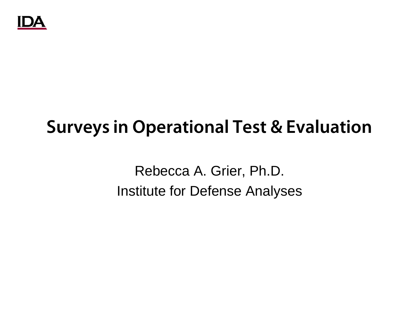

# **Surveys in Operational Test & Evaluation**

Rebecca A. Grier, Ph.D. Institute for Defense Analyses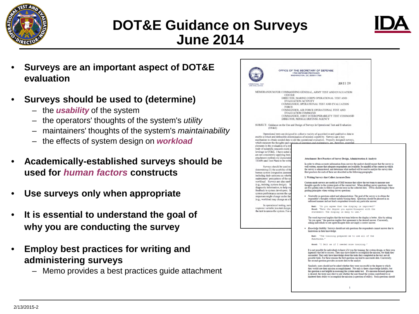

## **DOT&E Guidance on Surveys June 2014**



- **Surveys are an important aspect of DOT&E evaluation**
- **Surveys should be used to (determine)**
	- the *usability* of the system
	- the operators' thoughts of the system's *utility*
	- maintainers' thoughts of the system's *maintainability*
	- the effects of system design on *workload*
- **Academically-established surveys should be used for** *human factors* **constructs**
- **Use surveys only when appropriate**
- **It is essential to understand the goal of why you are conducting the survey**
- **Employ best practices for writing and administering surveys**
	- Memo provides a best practices guide attachment

| OFFICE OF THE SECRETARY OF DEFENSE<br><b>1700 DEFENSE PENTAGON</b><br><b>WASHINGTON, DC 20301-1700</b>                                                                                                                                                                                                                                                                                                                                                                                                                                                                                                                                                                                                                                                                                                                                                                                                                                                                                                                                                                                                                                                                                                                                                                                                                                                                                                                                                                                                                                                                                                                                                                                                                                                                                                                                                                                                                                                                                                                                                                                                                                                                                                                                                                                                                                                                                                                                                                                                                                                                                                                                                                                                                                                                                                                                                                                                                                                                                                                                                                                                                                                                                                                                                                                                                                                                                                                                                                                                                                                                                                                                                                                                                    |                                                                                         |
|---------------------------------------------------------------------------------------------------------------------------------------------------------------------------------------------------------------------------------------------------------------------------------------------------------------------------------------------------------------------------------------------------------------------------------------------------------------------------------------------------------------------------------------------------------------------------------------------------------------------------------------------------------------------------------------------------------------------------------------------------------------------------------------------------------------------------------------------------------------------------------------------------------------------------------------------------------------------------------------------------------------------------------------------------------------------------------------------------------------------------------------------------------------------------------------------------------------------------------------------------------------------------------------------------------------------------------------------------------------------------------------------------------------------------------------------------------------------------------------------------------------------------------------------------------------------------------------------------------------------------------------------------------------------------------------------------------------------------------------------------------------------------------------------------------------------------------------------------------------------------------------------------------------------------------------------------------------------------------------------------------------------------------------------------------------------------------------------------------------------------------------------------------------------------------------------------------------------------------------------------------------------------------------------------------------------------------------------------------------------------------------------------------------------------------------------------------------------------------------------------------------------------------------------------------------------------------------------------------------------------------------------------------------------------------------------------------------------------------------------------------------------------------------------------------------------------------------------------------------------------------------------------------------------------------------------------------------------------------------------------------------------------------------------------------------------------------------------------------------------------------------------------------------------------------------------------------------------------------------------------------------------------------------------------------------------------------------------------------------------------------------------------------------------------------------------------------------------------------------------------------------------------------------------------------------------------------------------------------------------------------------------------------------------------------------------------------------------------|-----------------------------------------------------------------------------------------|
| <b>JUN 2 3 2014</b><br><b>EVALUATION</b>                                                                                                                                                                                                                                                                                                                                                                                                                                                                                                                                                                                                                                                                                                                                                                                                                                                                                                                                                                                                                                                                                                                                                                                                                                                                                                                                                                                                                                                                                                                                                                                                                                                                                                                                                                                                                                                                                                                                                                                                                                                                                                                                                                                                                                                                                                                                                                                                                                                                                                                                                                                                                                                                                                                                                                                                                                                                                                                                                                                                                                                                                                                                                                                                                                                                                                                                                                                                                                                                                                                                                                                                                                                                                  |                                                                                         |
|                                                                                                                                                                                                                                                                                                                                                                                                                                                                                                                                                                                                                                                                                                                                                                                                                                                                                                                                                                                                                                                                                                                                                                                                                                                                                                                                                                                                                                                                                                                                                                                                                                                                                                                                                                                                                                                                                                                                                                                                                                                                                                                                                                                                                                                                                                                                                                                                                                                                                                                                                                                                                                                                                                                                                                                                                                                                                                                                                                                                                                                                                                                                                                                                                                                                                                                                                                                                                                                                                                                                                                                                                                                                                                                           |                                                                                         |
| MEMORANDUM FOR COMMANDING GENERAL, ARMY TEST AND EVALUATION<br><b>CENTER</b><br>DIRECTOR, MARINE CORPS OPERATIONAL TEST AND<br>EVALUATION ACTIVITY<br>COMMANDER, OPERATIONAL TEST AND EVALUATION<br><b>FORCE</b><br>COMMANDER, AIR FORCE OPERATIONAL TEST AND<br><b>EVALUATION COMMAND</b><br>COMMANDER, JOINT INTEROPERABILITY TEST COMMAND<br>DIRECTOR, MISSILE DEFENSE AGENCY<br>SUBJECT: Guidance on the Use and Design of Surveys in Operational Test and Evaluation<br>(OT&E)<br>Operational tests are designed to collect a variety of quantitative and qualitative data to<br>enable a robust and defensible determination of mission capability. Surveys are a key<br>mechanism to obtain needed data to aid the operational evaluation. Properly designed surveys,<br>which measure the thoughts and opinions of operators and maintainers, are, therefore,<br>elements in the evaluation of a sys<br>body of scientific research exists o<br>leverage in OT&E. I have noted i<br>are not consistently applying best<br>attachment outlines my expectatio<br>Attachment: Best Practices of Survey Design, Administration & Analysis<br>TEMPs and Test Plans to be writte<br>In order to obtain accurate information from surveys the analyst should ensure that the survey is<br>Surveys should be used to<br>well written, ensure that adequate respondents are available, be mindful of the context in which<br>the survey is administered, and determine what method will be used to analyze the survey data.<br>determining (1) the usability of the<br>Best practices for each of these are described in the following paragraphs.<br>human system integration assessm<br>including their opinions on whether<br>1. Writing Surveys that Collect Accurate Data<br>maintainers' perceptions of the sy<br>workload. Surveys are also used<br>Custom-made surveys are useful in OT&E because they allow the test team to measure user<br>thoughts specific to the system/goals of the current test. When drafting survey questions, there<br>(e.g., training, system design). In<br>diagnostic information, to help exp<br>are five golden rules to follow to prevent error in the collected data. OTAs should employ these<br>feedback to system developers. S<br>guiding principles when writing survey questions:<br>system performance across the ope<br>· Neutrality in questions asked and administration: The goal of the survey is to obtain the<br>responses might change under the<br>respondent's thoughts without unduly biasing them. Questions should be phrased in an<br>(e.g., workload may change as a ft<br>unbiased manner and not lead a respondent towards any particular answer.<br>In operational testing, surv<br>Bad: "Do you agree that the display is improved?"<br>response variable in a test design.<br>Good: "Rate the degree you agree/disagree with the<br>the test to assess the system. For c<br>statement: The display is easy to use."<br>The word improved implies that the test team believes the display is better. Also by asking<br>"do you agree," the question implies that agreement is the desired answer. Conversely,<br>asking individuals to rate agree/disagree does not imply a correct answer.<br>Enowledge liability: Surveys should not ask questions the respondents cannot answer due to<br>limitations in their knowledge.<br>Bad: "The training prepared me to use all of the<br>functions."<br>Good: "I felt as if I needed more training."<br>It is not possible for individuals to know if it was the training, the system design, or their own<br>ingenuity that led to success. They may have failed to accomplish the mission, but think they | succeeded. They only have knowledge about the tasks they completed in the test; not all |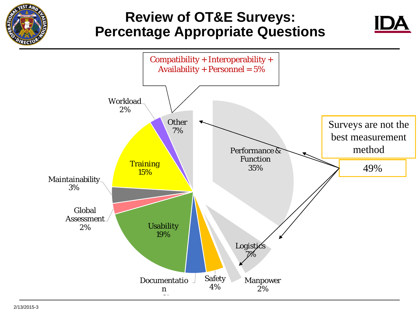

# **Review of OT&E Surveys: Percentage Appropriate Questions**

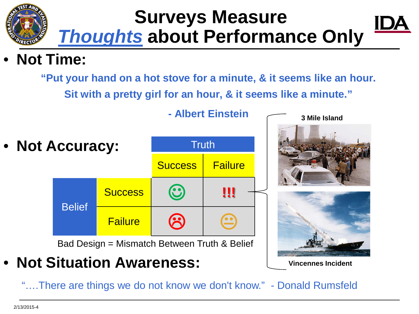# **Surveys Measure**  *Thoughts* **about Performance Only**

# • **Not Time:**

**"Put your hand on a hot stove for a minute, & it seems like an hour. Sit with a pretty girl for an hour, & it seems like a minute."** 



**- Albert Einstein** 

**3 Mile Island**

# • **Not Situation Awareness:**

"….There are things we do not know we don't know." - Donald Rumsfeld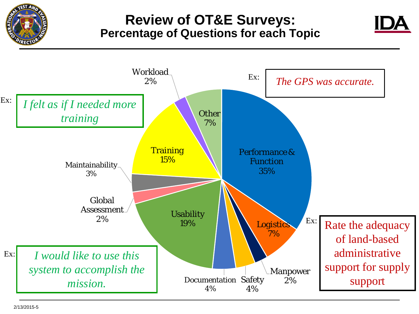

### **Review of OT&E Surveys: Percentage of Questions for each Topic**



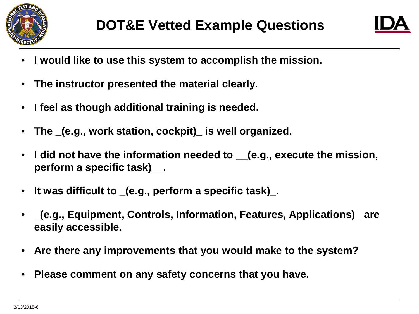

- **I would like to use this system to accomplish the mission.**
- **The instructor presented the material clearly.**
- **I feel as though additional training is needed.**
- **The \_(e.g., work station, cockpit)\_ is well organized.**
- **I did not have the information needed to \_\_(e.g., execute the mission, perform a specific task)\_\_.**
- **It was difficult to \_(e.g., perform a specific task)\_.**
- **\_(e.g., Equipment, Controls, Information, Features, Applications)\_ are easily accessible.**
- **Are there any improvements that you would make to the system?**
- **Please comment on any safety concerns that you have.**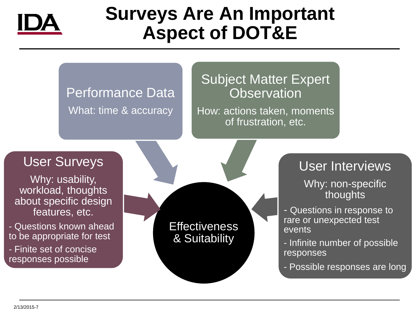

# **Surveys Are An Important Aspect of DOT&E**

# Performance Data What: time & accuracy

### Subject Matter Expert **Observation**

How: actions taken, moments of frustration, etc.

## User Surveys

Why: usability, workload, thoughts about specific design features, etc.

- Questions known ahead to be appropriate for test - Finite set of concise responses possible



#### User Interviews Why: non-specific thoughts

- Questions in response to rare or unexpected test events
- Infinite number of possible responses
- Possible responses are long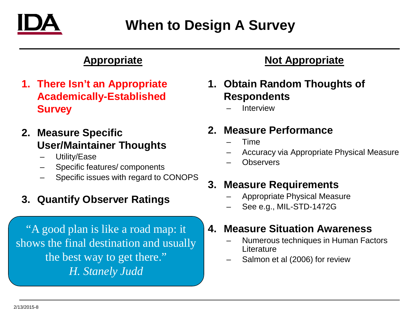

# **When to Design A Survey**

#### **Appropriate**

- **1. There Isn't an Appropriate Academically-Established Survey**
- **2. Measure Specific User/Maintainer Thoughts**
	- Utility/Ease
	- Specific features/ components
	- Specific issues with regard to CONOPS

#### **3. Quantify Observer Ratings**

"A good plan is like a road map: it shows the final destination and usually the best way to get there." *H. Stanely Judd*

#### **Not Appropriate**

- **1. Obtain Random Thoughts of Respondents**
	- **Interview**

#### **2. Measure Performance**

- Time
- Accuracy via Appropriate Physical Measure
- **Observers**

#### **3. Measure Requirements**

- Appropriate Physical Measure
- See e.g., MIL-STD-1472G

#### **4. Measure Situation Awareness**

- Numerous techniques in Human Factors **Literature**
- Salmon et al (2006) for review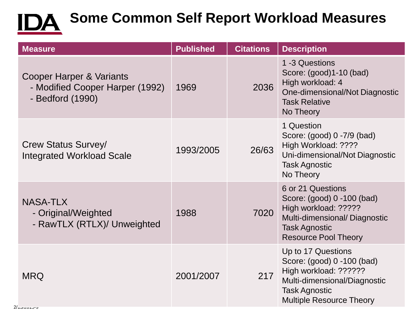# **IDA** Some Common Self Report Workload Measures

| <b>Measure</b>                                                                  | <b>Published</b> | <b>Citations</b> | <b>Description</b>                                                                                                                                                   |
|---------------------------------------------------------------------------------|------------------|------------------|----------------------------------------------------------------------------------------------------------------------------------------------------------------------|
| Cooper Harper & Variants<br>- Modified Cooper Harper (1992)<br>- Bedford (1990) | 1969             | 2036             | 1-3 Questions<br>Score: (good)1-10 (bad)<br>High workload: 4<br>One-dimensional/Not Diagnostic<br><b>Task Relative</b><br>No Theory                                  |
| <b>Crew Status Survey/</b><br><b>Integrated Workload Scale</b>                  | 1993/2005        | 26/63            | 1 Question<br>Score: (good) 0 -7/9 (bad)<br>High Workload: ????<br>Uni-dimensional/Not Diagnostic<br><b>Task Agnostic</b><br>No Theory                               |
| <b>NASA-TLX</b><br>- Original/Weighted<br>- RawTLX (RTLX)/ Unweighted           | 1988             | 7020             | 6 or 21 Questions<br>Score: (good) 0 -100 (bad)<br>High workload: ?????<br>Multi-dimensional/Diagnostic<br><b>Task Agnostic</b><br><b>Resource Pool Theory</b>       |
| <b>MRQ</b>                                                                      | 2001/2007        | 217              | Up to 17 Questions<br>Score: (good) 0 -100 (bad)<br>High workload: ??????<br>Multi-dimensional/Diagnostic<br><b>Task Agnostic</b><br><b>Multiple Resource Theory</b> |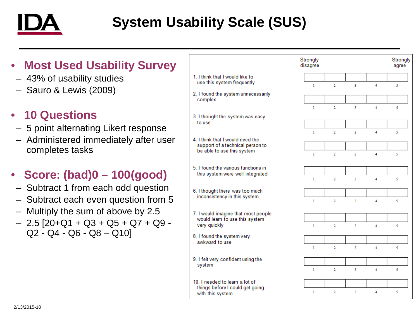

# **System Usability Scale (SUS)**

| <b>Most Used Usability Survey</b><br>$\bullet$                                                                                                                                                                          |                                                                                                    | Strongly<br>disagree         |                                  |                     |                | Strongly<br>agree |
|-------------------------------------------------------------------------------------------------------------------------------------------------------------------------------------------------------------------------|----------------------------------------------------------------------------------------------------|------------------------------|----------------------------------|---------------------|----------------|-------------------|
| - 43% of usability studies                                                                                                                                                                                              | 1. I think that I would like to<br>use this system frequently                                      | $\mathbf{1}$                 | $\overline{2}$                   | 3                   | 4              | 5                 |
| - Sauro & Lewis (2009)                                                                                                                                                                                                  | 2. I found the system unnecessarily<br>complex                                                     |                              |                                  |                     |                |                   |
| • 10 Questions<br>- 5 point alternating Likert response<br>- Administered immediately after user<br>completes tasks                                                                                                     | 3. I thought the system was easy<br>to use                                                         | $\mathbf{I}$                 | $\overline{2}$                   | $\overline{3}$      | $\overline{4}$ | 5                 |
|                                                                                                                                                                                                                         | 4. I think that I would need the<br>support of a technical person to<br>be able to use this system | $\mathbf{L}$<br>$\mathbf{I}$ | $\overline{2}$<br>$\overline{2}$ | $\overline{3}$<br>3 | 4<br>4         | 5<br>5            |
| • Score: $(bad)0 - 100(good)$<br>- Subtract 1 from each odd question<br>- Subtract each even question from 5<br>- Multiply the sum of above by 2.5<br>$-$ 2.5 [20+Q1 + Q3 + Q5 + Q7 + Q9 -<br>$Q2 - Q4 - Q6 - Q8 - Q10$ | 5. I found the various functions in<br>this system were well integrated                            | $\mathbf{I}$                 | $\overline{2}$                   | 3                   | 4              | 5                 |
|                                                                                                                                                                                                                         | 6. I thought there was too much<br>inconsistency in this system                                    | $\mathbf{1}$                 | $\overline{2}$                   | 3                   | $\overline{4}$ | 5                 |
|                                                                                                                                                                                                                         | 7. I would imagine that most people<br>would learn to use this system<br>very quickly              | $\mathbf{L}$                 | $\overline{2}$                   | $\overline{3}$      | $\overline{4}$ | 5                 |
|                                                                                                                                                                                                                         | 8. I found the system very<br>awkward to use                                                       | $\mathbf{L}$                 | $\overline{2}$                   | $\overline{3}$      | $\overline{4}$ |                   |
|                                                                                                                                                                                                                         | 9. I felt very confident using the<br>system                                                       | -1                           | $\overline{2}$                   | 3                   | 4              | 5<br>5            |
|                                                                                                                                                                                                                         | 10. I needed to learn a lot of<br>things before I could get going<br>with this system              | 1                            | 2                                | 3                   | 4              | 5                 |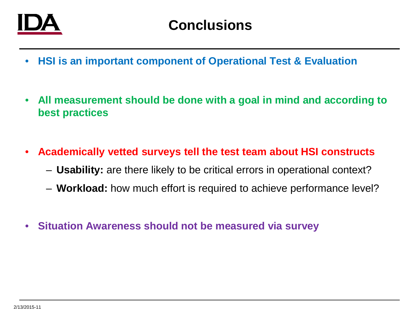

- **HSI is an important component of Operational Test & Evaluation**
- **All measurement should be done with a goal in mind and according to best practices**
- **Academically vetted surveys tell the test team about HSI constructs**
	- **Usability:** are there likely to be critical errors in operational context?
	- **Workload:** how much effort is required to achieve performance level?
- **Situation Awareness should not be measured via survey**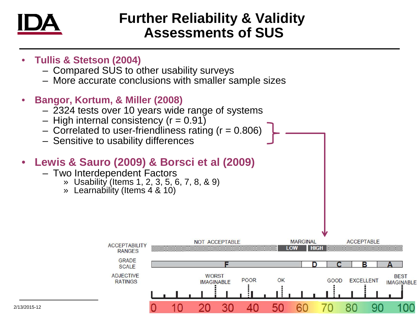

## **Further Reliability & Validity Assessments of SUS**

- **Tullis & Stetson (2004)**
	- Compared SUS to other usability surveys
	- More accurate conclusions with smaller sample sizes
- **Bangor, Kortum, & Miller (2008)**
	- 2324 tests over 10 years wide range of systems
	- $-$  High internal consistency ( $r = 0.91$ )
	- $-$  Correlated to user-friendliness rating ( $r = 0.806$ )
	- Sensitive to usability differences

#### • **Lewis & Sauro (2009) & Borsci et al (2009)**

- Two Interdependent Factors
	- » Usability (Items 1, 2, 3, 5, 6, 7, 8, & 9)
	- » Learnability (Items 4 & 10)

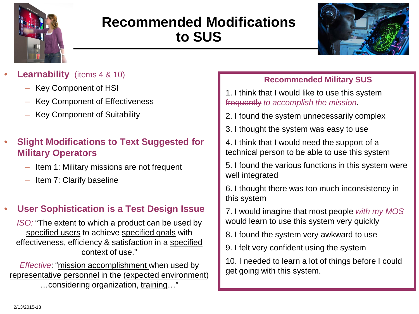

# **Recommended Modifications to SUS**



- **Learnability** (items 4 & 10)
	- Key Component of HSI
	- Key Component of Effectiveness
	- Key Component of Suitability
- **Slight Modifications to Text Suggested for Military Operators**
	- Item 1: Military missions are not frequent
	- Item 7: Clarify baseline

#### • **User Sophistication is a Test Design Issue**

*ISO:* "The extent to which a product can be used by specified users to achieve specified goals with effectiveness, efficiency & satisfaction in a specified context of use."

*Effective*: "mission accomplishment when used by representative personnel in the (expected environment) …considering organization, training…"

#### **Recommended Military SUS**

- 1. I think that I would like to use this system frequently *to accomplish the mission*.
- 2. I found the system unnecessarily complex
- 3. I thought the system was easy to use
- 4. I think that I would need the support of a technical person to be able to use this system
- 5. I found the various functions in this system were well integrated
- 6. I thought there was too much inconsistency in this system
- 7. I would imagine that most people *with my MOS*  would learn to use this system very quickly
- 8. I found the system very awkward to use
- 9. I felt very confident using the system

10. I needed to learn a lot of things before I could get going with this system.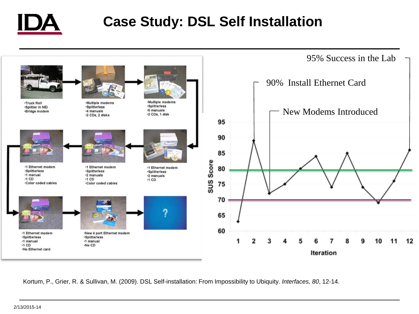

# **Case Study: DSL Self Installation**



Kortum, P., Grier, R. & Sullivan, M. (2009). DSL Self-installation: From Impossibility to Ubiquity. *Interfaces, 80*, 12-14.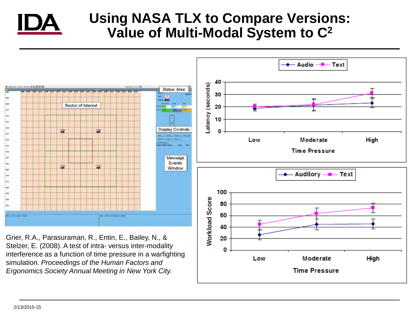

## **Using NASA TLX to Compare Versions: Value of Multi-Modal System to C2**